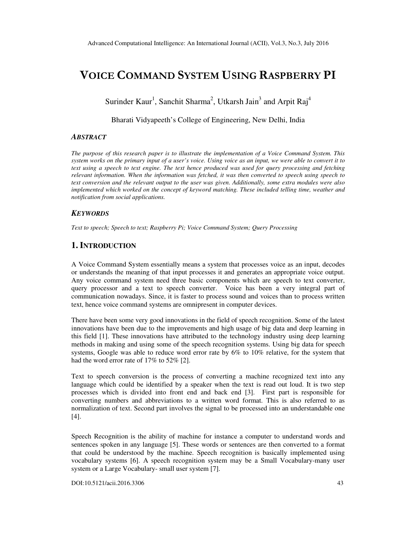# VOICE COMMAND SYSTEM USING RASPBERRY PI

Surinder Kaur<sup>1</sup>, Sanchit Sharma<sup>2</sup>, Utkarsh Jain<sup>3</sup> and Arpit Raj<sup>4</sup>

Bharati Vidyapeeth's College of Engineering, New Delhi, India

#### *ABSTRACT*

*The purpose of this research paper is to illustrate the implementation of a Voice Command System. This system works on the primary input of a user's voice. Using voice as an input, we were able to convert it to text using a speech to text engine. The text hence produced was used for query processing and fetching relevant information. When the information was fetched, it was then converted to speech using speech to text conversion and the relevant output to the user was given. Additionally, some extra modules were also implemented which worked on the concept of keyword matching. These included telling time, weather and notification from social applications.* 

#### *KEYWORDS*

*Text to speech; Speech to text; Raspberry Pi; Voice Command System; Query Processing* 

## **1. INTRODUCTION**

A Voice Command System essentially means a system that processes voice as an input, decodes or understands the meaning of that input processes it and generates an appropriate voice output. Any voice command system need three basic components which are speech to text converter, query processor and a text to speech converter. Voice has been a very integral part of communication nowadays. Since, it is faster to process sound and voices than to process written text, hence voice command systems are omnipresent in computer devices.

There have been some very good innovations in the field of speech recognition. Some of the latest innovations have been due to the improvements and high usage of big data and deep learning in this field [1]. These innovations have attributed to the technology industry using deep learning methods in making and using some of the speech recognition systems. Using big data for speech systems, Google was able to reduce word error rate by 6% to 10% relative, for the system that had the word error rate of 17% to 52% [2].

Text to speech conversion is the process of converting a machine recognized text into any language which could be identified by a speaker when the text is read out loud. It is two step processes which is divided into front end and back end [3]. First part is responsible for converting numbers and abbreviations to a written word format. This is also referred to as normalization of text. Second part involves the signal to be processed into an understandable one [4].

Speech Recognition is the ability of machine for instance a computer to understand words and sentences spoken in any language [5]. These words or sentences are then converted to a format that could be understood by the machine. Speech recognition is basically implemented using vocabulary systems [6]. A speech recognition system may be a Small Vocabulary-many user system or a Large Vocabulary- small user system [7].

DOI:10.5121/acii.2016.3306 43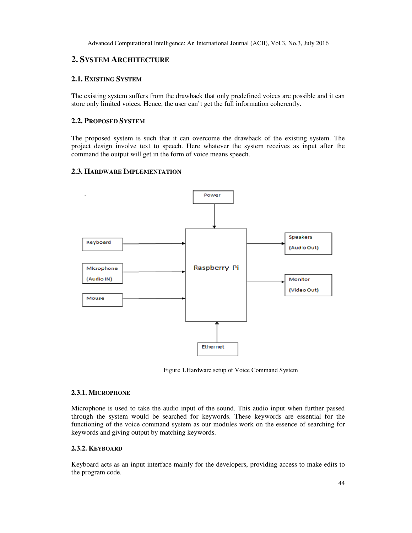# **2. SYSTEM ARCHITECTURE**

#### **2.1. EXISTING SYSTEM**

The existing system suffers from the drawback that only predefined voices are possible and it can store only limited voices. Hence, the user can't get the full information coherently.

#### **2.2. PROPOSED SYSTEM**

The proposed system is such that it can overcome the drawback of the existing system. The project design involve text to speech. Here whatever the system receives as input after the command the output will get in the form of voice means speech.

#### **2.3. HARDWARE IMPLEMENTATION**



Figure 1.Hardware setup of Voice Command System

#### **2.3.1. MICROPHONE**

Microphone is used to take the audio input of the sound. This audio input when further passed through the system would be searched for keywords. These keywords are essential for the functioning of the voice command system as our modules work on the essence of searching for keywords and giving output by matching keywords.

#### **2.3.2. KEYBOARD**

Keyboard acts as an input interface mainly for the developers, providing access to make edits to the program code.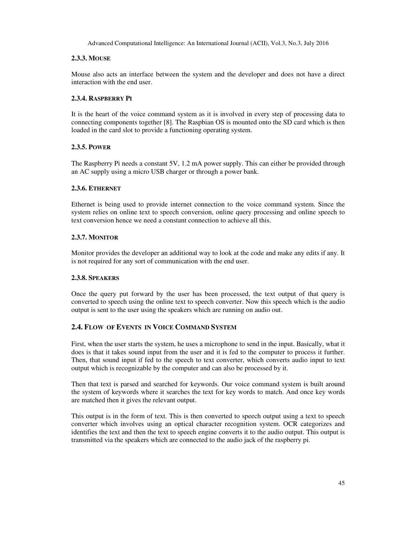## **2.3.3. MOUSE**

Mouse also acts an interface between the system and the developer and does not have a direct interaction with the end user.

## **2.3.4. RASPBERRY PI**

It is the heart of the voice command system as it is involved in every step of processing data to connecting components together [8]. The Raspbian OS is mounted onto the SD card which is then loaded in the card slot to provide a functioning operating system.

## **2.3.5. POWER**

The Raspberry Pi needs a constant 5V, 1.2 mA power supply. This can either be provided through an AC supply using a micro USB charger or through a power bank.

## **2.3.6. ETHERNET**

Ethernet is being used to provide internet connection to the voice command system. Since the system relies on online text to speech conversion, online query processing and online speech to text conversion hence we need a constant connection to achieve all this.

## **2.3.7. MONITOR**

Monitor provides the developer an additional way to look at the code and make any edits if any. It is not required for any sort of communication with the end user.

#### **2.3.8. SPEAKERS**

Once the query put forward by the user has been processed, the text output of that query is converted to speech using the online text to speech converter. Now this speech which is the audio output is sent to the user using the speakers which are running on audio out.

## **2.4. FLOW OF EVENTS IN VOICE COMMAND SYSTEM**

First, when the user starts the system, he uses a microphone to send in the input. Basically, what it does is that it takes sound input from the user and it is fed to the computer to process it further. Then, that sound input if fed to the speech to text converter, which converts audio input to text output which is recognizable by the computer and can also be processed by it.

Then that text is parsed and searched for keywords. Our voice command system is built around the system of keywords where it searches the text for key words to match. And once key words are matched then it gives the relevant output.

This output is in the form of text. This is then converted to speech output using a text to speech converter which involves using an optical character recognition system. OCR categorizes and identifies the text and then the text to speech engine converts it to the audio output. This output is transmitted via the speakers which are connected to the audio jack of the raspberry pi.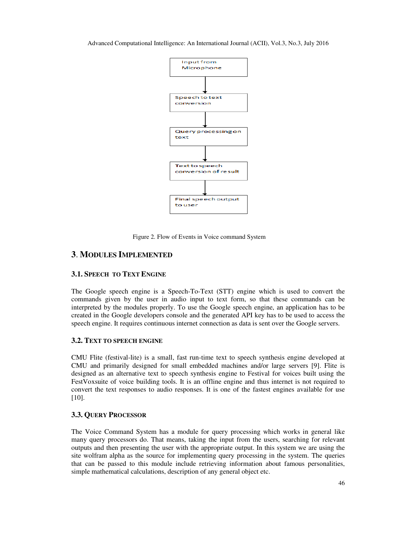



Figure 2. Flow of Events in Voice command System

# **3**. **MODULES IMPLEMENTED**

## **3.1. SPEECH TO TEXT ENGINE**

The Google speech engine is a Speech-To-Text (STT) engine which is used to convert the commands given by the user in audio input to text form, so that these commands can be interpreted by the modules properly. To use the Google speech engine, an application has to be created in the Google developers console and the generated API key has to be used to access the speech engine. It requires continuous internet connection as data is sent over the Google servers.

#### **3.2. TEXT TO SPEECH ENGINE**

CMU Flite (festival-lite) is a small, fast run-time text to speech synthesis engine developed at CMU and primarily designed for small embedded machines and/or large servers [9]. Flite is designed as an alternative text to speech synthesis engine to Festival for voices built using the FestVoxsuite of voice building tools. It is an offline engine and thus internet is not required to convert the text responses to audio responses. It is one of the fastest engines available for use [10].

#### **3.3. QUERY PROCESSOR**

The Voice Command System has a module for query processing which works in general like many query processors do. That means, taking the input from the users, searching for relevant outputs and then presenting the user with the appropriate output. In this system we are using the site wolfram alpha as the source for implementing query processing in the system. The queries that can be passed to this module include retrieving information about famous personalities, simple mathematical calculations, description of any general object etc.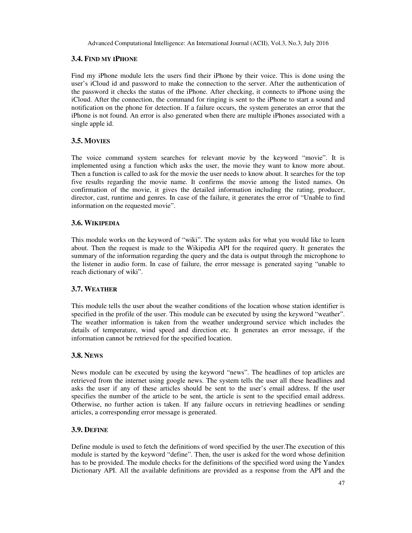#### **3.4. FIND MY IPHONE**

Find my iPhone module lets the users find their iPhone by their voice. This is done using the user's iCloud id and password to make the connection to the server. After the authentication of the password it checks the status of the iPhone. After checking, it connects to iPhone using the iCloud. After the connection, the command for ringing is sent to the iPhone to start a sound and notification on the phone for detection. If a failure occurs, the system generates an error that the iPhone is not found. An error is also generated when there are multiple iPhones associated with a single apple id.

## **3.5. MOVIES**

The voice command system searches for relevant movie by the keyword "movie". It is implemented using a function which asks the user, the movie they want to know more about. Then a function is called to ask for the movie the user needs to know about. It searches for the top five results regarding the movie name. It confirms the movie among the listed names. On confirmation of the movie, it gives the detailed information including the rating, producer, director, cast, runtime and genres. In case of the failure, it generates the error of "Unable to find information on the requested movie".

#### **3.6. WIKIPEDIA**

This module works on the keyword of "wiki". The system asks for what you would like to learn about. Then the request is made to the Wikipedia API for the required query. It generates the summary of the information regarding the query and the data is output through the microphone to the listener in audio form. In case of failure, the error message is generated saying "unable to reach dictionary of wiki".

#### **3.7. WEATHER**

This module tells the user about the weather conditions of the location whose station identifier is specified in the profile of the user. This module can be executed by using the keyword "weather". The weather information is taken from the weather underground service which includes the details of temperature, wind speed and direction etc. It generates an error message, if the information cannot be retrieved for the specified location.

#### **3.8. NEWS**

News module can be executed by using the keyword "news". The headlines of top articles are retrieved from the internet using google news. The system tells the user all these headlines and asks the user if any of these articles should be sent to the user's email address. If the user specifies the number of the article to be sent, the article is sent to the specified email address. Otherwise, no further action is taken. If any failure occurs in retrieving headlines or sending articles, a corresponding error message is generated.

## **3.9. DEFINE**

Define module is used to fetch the definitions of word specified by the user.The execution of this module is started by the keyword "define". Then, the user is asked for the word whose definition has to be provided. The module checks for the definitions of the specified word using the Yandex Dictionary API. All the available definitions are provided as a response from the API and the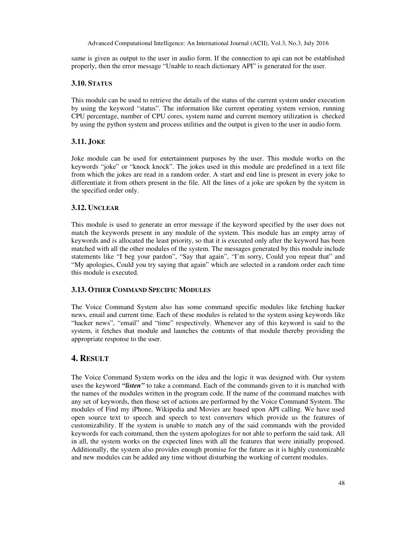same is given as output to the user in audio form. If the connection to api can not be established properly, then the error message "Unable to reach dictionary API" is generated for the user.

## **3.10. STATUS**

This module can be used to retrieve the details of the status of the current system under execution by using the keyword "status". The information like current operating system version, running CPU percentage, number of CPU cores, system name and current memory utilization is checked by using the python system and process utilities and the output is given to the user in audio form.

## **3.11. JOKE**

Joke module can be used for entertainment purposes by the user. This module works on the keywords "joke" or "knock knock". The jokes used in this module are predefined in a text file from which the jokes are read in a random order. A start and end line is present in every joke to differentiate it from others present in the file. All the lines of a joke are spoken by the system in the specified order only.

## **3.12. UNCLEAR**

This module is used to generate an error message if the keyword specified by the user does not match the keywords present in any module of the system. This module has an empty array of keywords and is allocated the least priority, so that it is executed only after the keyword has been matched with all the other modules of the system. The messages generated by this module include statements like "I beg your pardon", "Say that again", "I'm sorry, Could you repeat that" and "My apologies, Could you try saying that again" which are selected in a random order each time this module is executed.

#### **3.13. OTHER COMMAND SPECIFIC MODULES**

The Voice Command System also has some command specific modules like fetching hacker news, email and current time. Each of these modules is related to the system using keywords like "hacker news", "email" and "time" respectively. Whenever any of this keyword is said to the system, it fetches that module and launches the contents of that module thereby providing the appropriate response to the user.

## **4. RESULT**

The Voice Command System works on the idea and the logic it was designed with. Our system uses the keyword *"listen"* to take a command. Each of the commands given to it is matched with the names of the modules written in the program code. If the name of the command matches with any set of keywords, then those set of actions are performed by the Voice Command System. The modules of Find my iPhone, Wikipedia and Movies are based upon API calling. We have used open source text to speech and speech to text converters which provide us the features of customizability. If the system is unable to match any of the said commands with the provided keywords for each command, then the system apologizes for not able to perform the said task. All in all, the system works on the expected lines with all the features that were initially proposed. Additionally, the system also provides enough promise for the future as it is highly customizable and new modules can be added any time without disturbing the working of current modules.